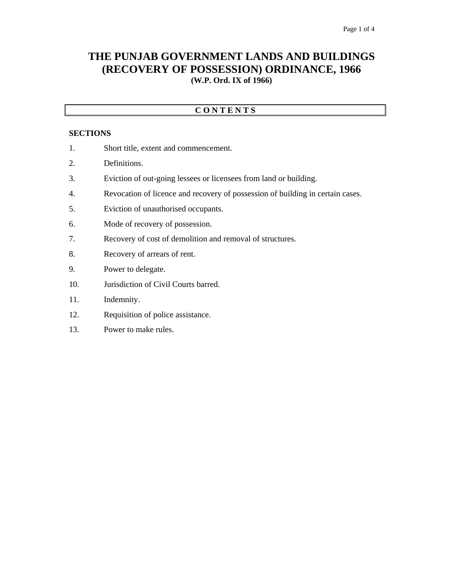## **THE PUNJAB GOVERNMENT LANDS AND BUILDINGS (RECOVERY OF POSSESSION) ORDINANCE, 1966 (W.P. Ord. IX of 1966)**

### **C O N T E N T S**

#### **SECTIONS**

- 1. Short title, extent and commencement.
- 2. Definitions.
- 3. Eviction of out-going lessees or licensees from land or building.
- 4. Revocation of licence and recovery of possession of building in certain cases.
- 5. Eviction of unauthorised occupants.
- 6. Mode of recovery of possession.
- 7. Recovery of cost of demolition and removal of structures.
- 8. Recovery of arrears of rent.
- 9. Power to delegate.
- 10. Jurisdiction of Civil Courts barred.
- 11. Indemnity.
- 12. Requisition of police assistance.
- 13. Power to make rules.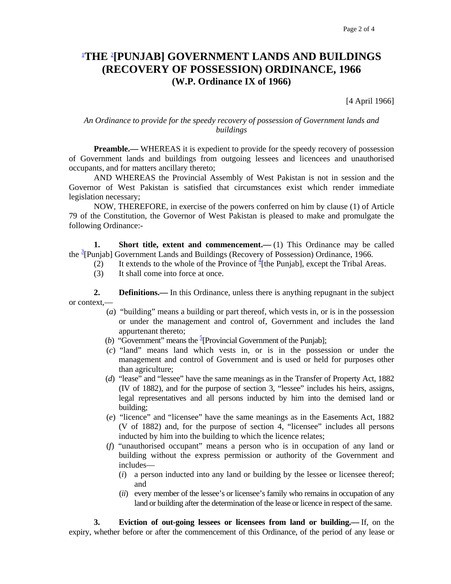# 1 **THE** <sup>2</sup> **[PUNJAB] GOVERNMENT LANDS AND BUILDINGS (RECOVERY OF POSSESSION) ORDINANCE, 1966 (W.P. Ordinance IX of 1966)**

[4 April 1966]

#### *An Ordinance to provide for the speedy recovery of possession of Government lands and buildings*

**Preamble.**— WHEREAS it is expedient to provide for the speedy recovery of possession of Government lands and buildings from outgoing lessees and licencees and unauthorised occupants, and for matters ancillary thereto;

 AND WHEREAS the Provincial Assembly of West Pakistan is not in session and the Governor of West Pakistan is satisfied that circumstances exist which render immediate legislation necessary;

 NOW, THEREFORE, in exercise of the powers conferred on him by clause (1) of Article 79 of the Constitution, the Governor of West Pakistan is pleased to make and promulgate the following Ordinance:-

**1.** Short title, extent and commencement.—(1) This Ordinance may be called the <sup>3</sup>[Punjab] Government Lands and Buildings (Recovery of Possession) Ordinance, 1966.

- (2) It extends to the whole of the Province of  $\frac{4}{3}$  [the Punjab], except the Tribal Areas.
	- (3) It shall come into force at once.

**2. Definitions.**—In this Ordinance, unless there is anything repugnant in the subject or context,—

- (*a*) "building" means a building or part thereof, which vests in, or is in the possession or under the management and control of, Government and includes the land appurtenant thereto;
- (*b*) "Government" means the  $\frac{5}{2}$ [Provincial Government of the Punjab];
	- (*c*) "land" means land which vests in, or is in the possession or under the management and control of Government and is used or held for purposes other than agriculture;
	- (*d*) "lease" and "lessee" have the same meanings as in the Transfer of Property Act, 1882 (IV of 1882), and for the purpose of section 3, "lessee" includes his heirs, assigns, legal representatives and all persons inducted by him into the demised land or building;
	- (*e*) "licence" and "licensee" have the same meanings as in the Easements Act, 1882 (V of 1882) and, for the purpose of section 4, "licensee" includes all persons inducted by him into the building to which the licence relates;
	- (*f*) "unauthorised occupant" means a person who is in occupation of any land or building without the express permission or authority of the Government and includes—
		- (*i*) a person inducted into any land or building by the lessee or licensee thereof; and
		- (*ii*) every member of the lessee's or licensee's family who remains in occupation of any land or building after the determination of the lease or licence in respect of the same.

 **3. Eviction of out-going lessees or licensees from land or building.—** If, on the expiry, whether before or after the commencement of this Ordinance, of the period of any lease or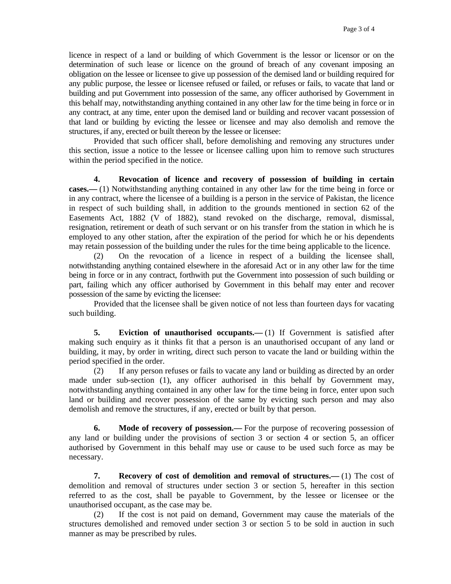licence in respect of a land or building of which Government is the lessor or licensor or on the determination of such lease or licence on the ground of breach of any covenant imposing an obligation on the lessee or licensee to give up possession of the demised land or building required for any public purpose, the lessee or licensee refused or failed, or refuses or fails, to vacate that land or building and put Government into possession of the same, any officer authorised by Government in this behalf may, notwithstanding anything contained in any other law for the time being in force or in any contract, at any time, enter upon the demised land or building and recover vacant possession of that land or building by evicting the lessee or licensee and may also demolish and remove the structures, if any, erected or built thereon by the lessee or licensee:

 Provided that such officer shall, before demolishing and removing any structures under this section, issue a notice to the lessee or licensee calling upon him to remove such structures within the period specified in the notice.

 **4. Revocation of licence and recovery of possession of building in certain cases.—** (1) Notwithstanding anything contained in any other law for the time being in force or in any contract, where the licensee of a building is a person in the service of Pakistan, the licence in respect of such building shall, in addition to the grounds mentioned in section 62 of the Easements Act, 1882 (V of 1882), stand revoked on the discharge, removal, dismissal, resignation, retirement or death of such servant or on his transfer from the station in which he is employed to any other station, after the expiration of the period for which he or his dependents may retain possession of the building under the rules for the time being applicable to the licence.

 (2) On the revocation of a licence in respect of a building the licensee shall, notwithstanding anything contained elsewhere in the aforesaid Act or in any other law for the time being in force or in any contract, forthwith put the Government into possession of such building or part, failing which any officer authorised by Government in this behalf may enter and recover possession of the same by evicting the licensee:

Provided that the licensee shall be given notice of not less than fourteen days for vacating such building.

**5.** Eviction of unauthorised occupants.—(1) If Government is satisfied after making such enquiry as it thinks fit that a person is an unauthorised occupant of any land or building, it may, by order in writing, direct such person to vacate the land or building within the period specified in the order.

 (2) If any person refuses or fails to vacate any land or building as directed by an order made under sub-section (1), any officer authorised in this behalf by Government may, notwithstanding anything contained in any other law for the time being in force, enter upon such land or building and recover possession of the same by evicting such person and may also demolish and remove the structures, if any, erected or built by that person.

 **6. Mode of recovery of possession.—** For the purpose of recovering possession of any land or building under the provisions of section 3 or section 4 or section 5, an officer authorised by Government in this behalf may use or cause to be used such force as may be necessary.

 **7. Recovery of cost of demolition and removal of structures.—** (1) The cost of demolition and removal of structures under section 3 or section 5, hereafter in this section referred to as the cost, shall be payable to Government, by the lessee or licensee or the unauthorised occupant, as the case may be.

 (2) If the cost is not paid on demand, Government may cause the materials of the structures demolished and removed under section 3 or section 5 to be sold in auction in such manner as may be prescribed by rules.